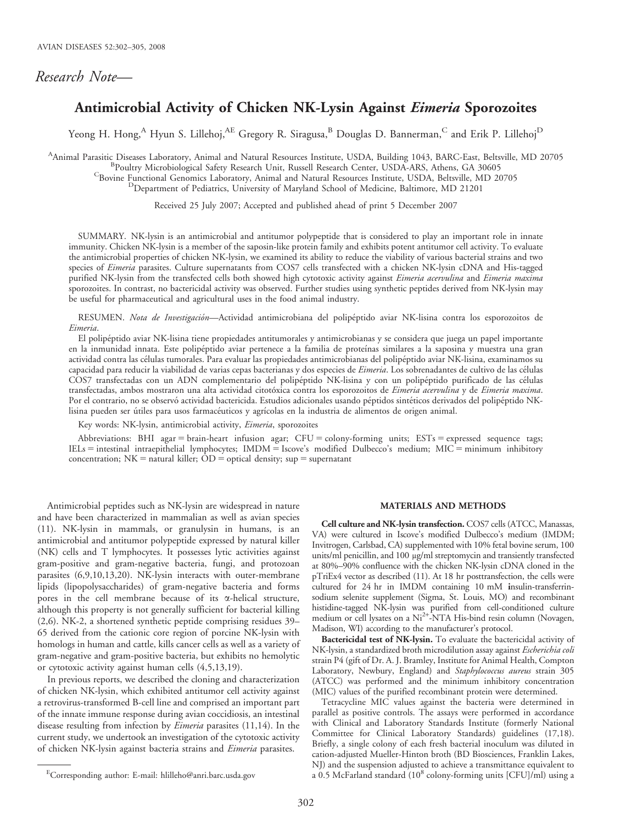# Research Note—

# Antimicrobial Activity of Chicken NK-Lysin Against Eimeria Sporozoites

Yeong H. Hong,<sup>A</sup> Hyun S. Lillehoj,<sup>AE</sup> Gregory R. Siragusa,<sup>B</sup> Douglas D. Bannerman,<sup>C</sup> and Erik P. Lillehoj<sup>D</sup>

A Animal Parasitic Diseases Laboratory, Animal and Natural Resources Institute, USDA, Building 1043, BARC-East, Beltsville, MD 20705<br>BRoultzy Microbiological Safety Research Unit, Bussell Research Center, USDA ARS, Athens,

<sup>B</sup>Poultry Microbiological Safety Research Unit, Russell Research Center, USDA-ARS, Athens, GA 30605<br><sup>C</sup>Bovine Functional Genomics Laboratory, Animal and Natural Resources Institute, USDA, Beltsville, MD 20705<br><sup>D</sup>Departmen

Received 25 July 2007; Accepted and published ahead of print 5 December 2007

SUMMARY. NK-lysin is an antimicrobial and antitumor polypeptide that is considered to play an important role in innate immunity. Chicken NK-lysin is a member of the saposin-like protein family and exhibits potent antitumor cell activity. To evaluate the antimicrobial properties of chicken NK-lysin, we examined its ability to reduce the viability of various bacterial strains and two species of Eimeria parasites. Culture supernatants from COS7 cells transfected with a chicken NK-lysin cDNA and His-tagged purified NK-lysin from the transfected cells both showed high cytotoxic activity against Eimeria acervulina and Eimeria maxima sporozoites. In contrast, no bactericidal activity was observed. Further studies using synthetic peptides derived from NK-lysin may be useful for pharmaceutical and agricultural uses in the food animal industry.

RESUMEN. Nota de Investigación-Actividad antimicrobiana del polipéptido aviar NK-lisina contra los esporozoitos de Eimeria.

El polipéptido aviar NK-lisina tiene propiedades antitumorales y antimicrobianas y se considera que juega un papel importante en la inmunidad innata. Este polipéptido aviar pertenece a la familia de proteínas similares a la saposina y muestra una gran actividad contra las células tumorales. Para evaluar las propiedades antimicrobianas del polipéptido aviar NK-lisina, examinamos su capacidad para reducir la viabilidad de varias cepas bacterianas y dos especies de Eimeria. Los sobrenadantes de cultivo de las células COS7 transfectadas con un ADN complementario del polipéptido NK-lisina y con un polipéptido purificado de las células transfectadas, ambos mostraron una alta actividad citotóxica contra los esporozoitos de Eimeria acervulina y de Eimeria maxima. Por el contrario, no se observó actividad bactericida. Estudios adicionales usando péptidos sintéticos derivados del polipéptido NKlisina pueden ser útiles para usos farmacéuticos y agrícolas en la industria de alimentos de origen animal.

Key words: NK-lysin, antimicrobial activity, Eimeria, sporozoites

Abbreviations: BHI agar = brain-heart infusion agar;  $CFU =$  colony-forming units;  $ESTs =$  expressed sequence tags; IELs = intestinal intraepithelial lymphocytes; IMDM = Iscove's modified Dulbecco's medium; MIC = minimum inhibitory concentration;  $NK =$  natural killer;  $OD =$  optical density; sup  $=$  supernatant

Antimicrobial peptides such as NK-lysin are widespread in nature and have been characterized in mammalian as well as avian species (11). NK-lysin in mammals, or granulysin in humans, is an antimicrobial and antitumor polypeptide expressed by natural killer (NK) cells and T lymphocytes. It possesses lytic activities against gram-positive and gram-negative bacteria, fungi, and protozoan parasites (6,9,10,13,20). NK-lysin interacts with outer-membrane lipids (lipopolysaccharides) of gram-negative bacteria and forms pores in the cell membrane because of its  $\alpha$ -helical structure, although this property is not generally sufficient for bacterial killing (2,6). NK-2, a shortened synthetic peptide comprising residues 39– 65 derived from the cationic core region of porcine NK-lysin with homologs in human and cattle, kills cancer cells as well as a variety of gram-negative and gram-positive bacteria, but exhibits no hemolytic or cytotoxic activity against human cells (4,5,13,19).

In previous reports, we described the cloning and characterization of chicken NK-lysin, which exhibited antitumor cell activity against a retrovirus-transformed B-cell line and comprised an important part of the innate immune response during avian coccidiosis, an intestinal disease resulting from infection by *Eimeria* parasites (11,14). In the current study, we undertook an investigation of the cytotoxic activity of chicken NK-lysin against bacteria strains and *Eimeria* parasites.

#### MATERIALS AND METHODS

Cell culture and NK-lysin transfection. COS7 cells (ATCC, Manassas, VA) were cultured in Iscove's modified Dulbecco's medium (IMDM; Invitrogen, Carlsbad, CA) supplemented with 10% fetal bovine serum, 100 units/ml penicillin, and 100 mg/ml streptomycin and transiently transfected at 80%–90% confluence with the chicken NK-lysin cDNA cloned in the pTriEx4 vector as described (11). At 18 hr posttransfection, the cells were cultured for 24 hr in IMDM containing 10 mM insulin-transferrinsodium selenite supplement (Sigma, St. Louis, MO) and recombinant histidine-tagged NK-lysin was purified from cell-conditioned culture medium or cell lysates on a Ni<sup>2+</sup>-NTA His-bind resin column (Novagen, Madison, WI) according to the manufacturer's protocol.

Bactericidal test of NK-lysin. To evaluate the bactericidal activity of NK-lysin, a standardized broth microdilution assay against Escherichia coli strain P4 (gift of Dr. A. J. Bramley, Institute for Animal Health, Compton Laboratory, Newbury, England) and Staphylococcus aureus strain 305 (ATCC) was performed and the minimum inhibitory concentration (MIC) values of the purified recombinant protein were determined.

Tetracycline MIC values against the bacteria were determined in parallel as positive controls. The assays were performed in accordance with Clinical and Laboratory Standards Institute (formerly National Committee for Clinical Laboratory Standards) guidelines (17,18). Briefly, a single colony of each fresh bacterial inoculum was diluted in cation-adjusted Mueller-Hinton broth (BD Biosciences, Franklin Lakes, NJ) and the suspension adjusted to achieve a transmittance equivalent to a 0.5 McFarland standard  $(10^8 \text{ colony-forming units}$  [CFU]/ml) using a

Corresponding author: E-mail: hlilleho@anri.barc.usda.gov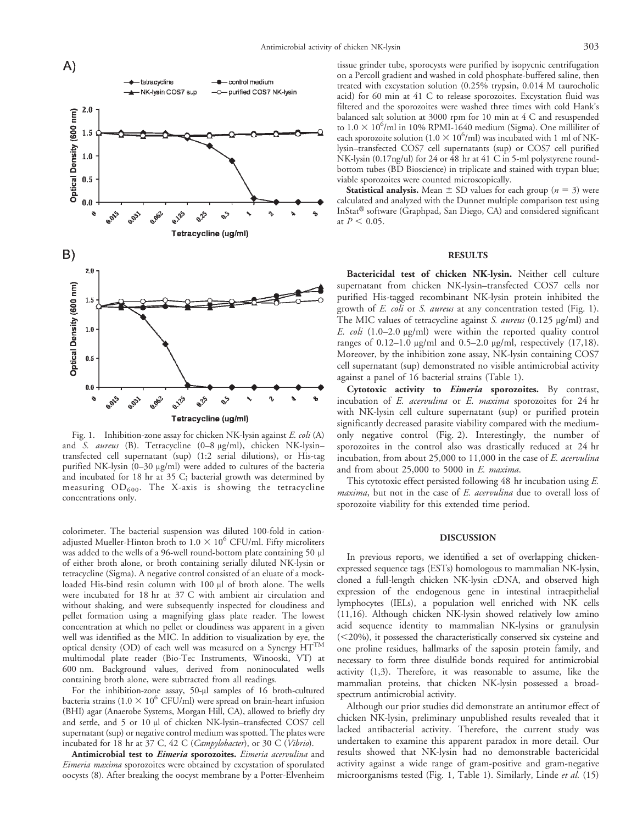

Fig. 1. Inhibition-zone assay for chicken NK-lysin against E. coli (A) and S. aureus (B). Tetracycline (0-8 µg/ml), chicken NK-lysintransfected cell supernatant (sup) (1:2 serial dilutions), or His-tag purified NK-lysin (0-30 µg/ml) were added to cultures of the bacteria and incubated for 18 hr at 35 C; bacterial growth was determined by measuring  $OD_{600}$ . The X-axis is showing the tetracycline concentrations only.

colorimeter. The bacterial suspension was diluted 100-fold in cationadjusted Mueller-Hinton broth to  $1.0 \times 10^6$  CFU/ml. Fifty microliters was added to the wells of a 96-well round-bottom plate containing 50 µl of either broth alone, or broth containing serially diluted NK-lysin or tetracycline (Sigma). A negative control consisted of an eluate of a mockloaded His-bind resin column with 100 µl of broth alone. The wells were incubated for 18 hr at 37 C with ambient air circulation and without shaking, and were subsequently inspected for cloudiness and pellet formation using a magnifying glass plate reader. The lowest concentration at which no pellet or cloudiness was apparent in a given well was identified as the MIC. In addition to visualization by eye, the optical density (OD) of each well was measured on a Synergy  $HT^{TM}$ multimodal plate reader (Bio-Tec Instruments, Winooski, VT) at 600 nm. Background values, derived from noninoculated wells containing broth alone, were subtracted from all readings.

For the inhibition-zone assay, 50-µl samples of 16 broth-cultured bacteria strains (1.0  $\times$  10<sup>6</sup> CFU/ml) were spread on brain-heart infusion (BHI) agar (Anaerobe Systems, Morgan Hill, CA), allowed to briefly dry and settle, and 5 or 10 µl of chicken NK-lysin–transfected COS7 cell supernatant (sup) or negative control medium was spotted. The plates were incubated for 18 hr at 37 C, 42 C (*Campylobacter*), or 30 C (*Vibrio*).

Antimicrobial test to *Eimeria* sporozoites. *Eimeria acervulina* and Eimeria maxima sporozoites were obtained by excystation of sporulated oocysts (8). After breaking the oocyst membrane by a Potter-Elvenheim

tissue grinder tube, sporocysts were purified by isopycnic centrifugation on a Percoll gradient and washed in cold phosphate-buffered saline, then treated with excystation solution (0.25% trypsin, 0.014 M taurocholic acid) for 60 min at 41 C to release sporozoites. Excystation fluid was filtered and the sporozoites were washed three times with cold Hank's balanced salt solution at 3000 rpm for 10 min at 4 C and resuspended to  $1.0 \times 10^6$ /ml in 10% RPMI-1640 medium (Sigma). One milliliter of each sporozoite solution ( $1.0 \times 10^6$ /ml) was incubated with 1 ml of NKlysin–transfected COS7 cell supernatants (sup) or COS7 cell purified NK-lysin (0.17ng/ul) for 24 or 48 hr at 41 C in 5-ml polystyrene roundbottom tubes (BD Bioscience) in triplicate and stained with trypan blue; viable sporozoites were counted microscopically.

**Statistical analysis.** Mean  $\pm$  SD values for each group ( $n = 3$ ) were calculated and analyzed with the Dunnet multiple comparison test using InStat<sup>®</sup> software (Graphpad, San Diego, CA) and considered significant at  $P < 0.05$ .

### **RESULTS**

Bactericidal test of chicken NK-lysin. Neither cell culture supernatant from chicken NK-lysin–transfected COS7 cells nor purified His-tagged recombinant NK-lysin protein inhibited the growth of E. coli or S. aureus at any concentration tested (Fig. 1). The MIC values of tetracycline against S. aureus (0.125 µg/ml) and E. coli (1.0–2.0  $\mu$ g/ml) were within the reported quality control ranges of  $0.12-1.0 \mu g/ml$  and  $0.5-2.0 \mu g/ml$ , respectively  $(17.18)$ . Moreover, by the inhibition zone assay, NK-lysin containing COS7 cell supernatant (sup) demonstrated no visible antimicrobial activity against a panel of 16 bacterial strains (Table 1).

Cytotoxic activity to *Eimeria* sporozoites. By contrast, incubation of E. acervulina or E. maxima sporozoites for 24 hr with NK-lysin cell culture supernatant (sup) or purified protein significantly decreased parasite viability compared with the mediumonly negative control (Fig. 2). Interestingly, the number of sporozoites in the control also was drastically reduced at 24 hr incubation, from about 25,000 to 11,000 in the case of E. acervulina and from about 25,000 to 5000 in E. maxima.

This cytotoxic effect persisted following 48 hr incubation using E. maxima, but not in the case of E. acervulina due to overall loss of sporozoite viability for this extended time period.

#### DISCUSSION

In previous reports, we identified a set of overlapping chickenexpressed sequence tags (ESTs) homologous to mammalian NK-lysin, cloned a full-length chicken NK-lysin cDNA, and observed high expression of the endogenous gene in intestinal intraepithelial lymphocytes (IELs), a population well enriched with NK cells (11,16). Although chicken NK-lysin showed relatively low amino acid sequence identity to mammalian NK-lysins or granulysin  $(<20\%)$ , it possessed the characteristically conserved six cysteine and one proline residues, hallmarks of the saposin protein family, and necessary to form three disulfide bonds required for antimicrobial activity (1,3). Therefore, it was reasonable to assume, like the mammalian proteins, that chicken NK-lysin possessed a broadspectrum antimicrobial activity.

Although our prior studies did demonstrate an antitumor effect of chicken NK-lysin, preliminary unpublished results revealed that it lacked antibacterial activity. Therefore, the current study was undertaken to examine this apparent paradox in more detail. Our results showed that NK-lysin had no demonstrable bactericidal activity against a wide range of gram-positive and gram-negative microorganisms tested (Fig. 1, Table 1). Similarly, Linde et al. (15)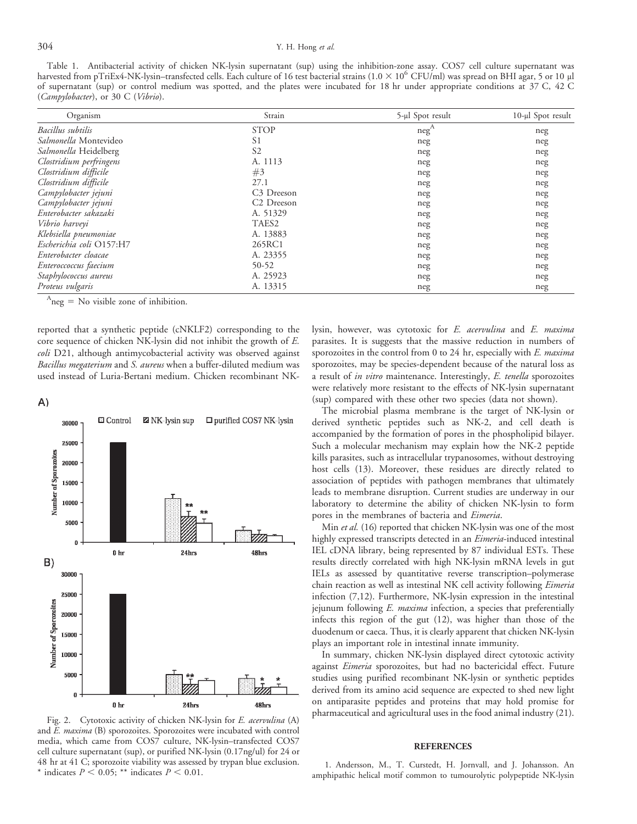## 304 Y. H. Hong et al.

Table 1. Antibacterial activity of chicken NK-lysin supernatant (sup) using the inhibition-zone assay. COS7 cell culture supernatant was harvested from pTriEx4-NK-lysin–transfected cells. Each culture of 16 test bacterial strains ( $1.0 \times 10^6$  CFU/ml) was spread on BHI agar, 5 or 10 µl of supernatant (sup) or control medium was spotted, and the plates were incubated for 18 hr under appropriate conditions at 37 C, 42 C (Campylobacter), or 30 C (Vibrio).

| Organism                         | Strain                 | 5-µl Spot result | 10-µl Spot result |
|----------------------------------|------------------------|------------------|-------------------|
| Bacillus subtilis                | <b>STOP</b>            | $neg^A$          | neg               |
| Salmonella Montevideo            | S <sub>1</sub>         | neg              | neg               |
| Salmonella Heidelberg            | S <sub>2</sub>         | neg              | neg               |
| Clostridium perfringens          | A. 1113                | neg              | neg               |
| Clostridium difficile            | #3                     | neg              | neg               |
| Clostridium difficile            | 27.1                   | neg              | neg               |
| Campylobacter jejuni             | C <sub>3</sub> Dreeson | neg              | neg               |
| Campylobacter jejuni             | C <sub>2</sub> Dreeson | neg              | neg               |
| Enterobacter sakazaki            | A. 51329               | neg              | neg               |
| Vibrio harveyi                   | TAES <sub>2</sub>      | neg              | neg               |
| Klebsiella pneumoniae            | A. 13883               | neg              | neg               |
| Escherichia coli O157:H7         | 265RC1                 | neg              | neg               |
| Enterobacter cloacae             | A. 23355               | neg              | neg               |
| Enteroccoccus faecium            | 50-52                  | neg              | neg               |
| Staphylococcus aureus            | A. 25923               | neg              | neg               |
| Proteus vulgaris<br>$\mathbf{A}$ | A. 13315               | neg              | neg               |

 $A_{\text{neg}} =$  No visible zone of inhibition.

reported that a synthetic peptide (cNKLF2) corresponding to the core sequence of chicken NK-lysin did not inhibit the growth of E. coli D21, although antimycobacterial activity was observed against Bacillus megaterium and S. aureus when a buffer-diluted medium was used instead of Luria-Bertani medium. Chicken recombinant NK-

 $A)$ 



Fig. 2. Cytotoxic activity of chicken NK-lysin for E. acervulina (A) and E. maxima (B) sporozoites. Sporozoites were incubated with control media, which came from COS7 culture, NK-lysin–transfected COS7 cell culture supernatant (sup), or purified NK-lysin (0.17ng/ul) for 24 or 48 hr at 41 C; sporozoite viability was assessed by trypan blue exclusion. \* indicates  $P < 0.05$ ; \*\* indicates  $P < 0.01$ .

lysin, however, was cytotoxic for E. acervulina and E. maxima parasites. It is suggests that the massive reduction in numbers of sporozoites in the control from 0 to 24 hr, especially with  $E$ . maxima sporozoites, may be species-dependent because of the natural loss as a result of in vitro maintenance. Interestingly, E. tenella sporozoites were relatively more resistant to the effects of NK-lysin supernatant (sup) compared with these other two species (data not shown).

The microbial plasma membrane is the target of NK-lysin or derived synthetic peptides such as NK-2, and cell death is accompanied by the formation of pores in the phospholipid bilayer. Such a molecular mechanism may explain how the NK-2 peptide kills parasites, such as intracellular trypanosomes, without destroying host cells (13). Moreover, these residues are directly related to association of peptides with pathogen membranes that ultimately leads to membrane disruption. Current studies are underway in our laboratory to determine the ability of chicken NK-lysin to form pores in the membranes of bacteria and Eimeria.

Min et al. (16) reported that chicken NK-lysin was one of the most highly expressed transcripts detected in an Eimeria-induced intestinal IEL cDNA library, being represented by 87 individual ESTs. These results directly correlated with high NK-lysin mRNA levels in gut IELs as assessed by quantitative reverse transcription–polymerase chain reaction as well as intestinal NK cell activity following *Eimeria* infection (7,12). Furthermore, NK-lysin expression in the intestinal jejunum following E. maxima infection, a species that preferentially infects this region of the gut (12), was higher than those of the duodenum or caeca. Thus, it is clearly apparent that chicken NK-lysin plays an important role in intestinal innate immunity.

In summary, chicken NK-lysin displayed direct cytotoxic activity against Eimeria sporozoites, but had no bactericidal effect. Future studies using purified recombinant NK-lysin or synthetic peptides derived from its amino acid sequence are expected to shed new light on antiparasite peptides and proteins that may hold promise for pharmaceutical and agricultural uses in the food animal industry (21).

#### REFERENCES

1. Andersson, M., T. Curstedt, H. Jornvall, and J. Johansson. An amphipathic helical motif common to tumourolytic polypeptide NK-lysin